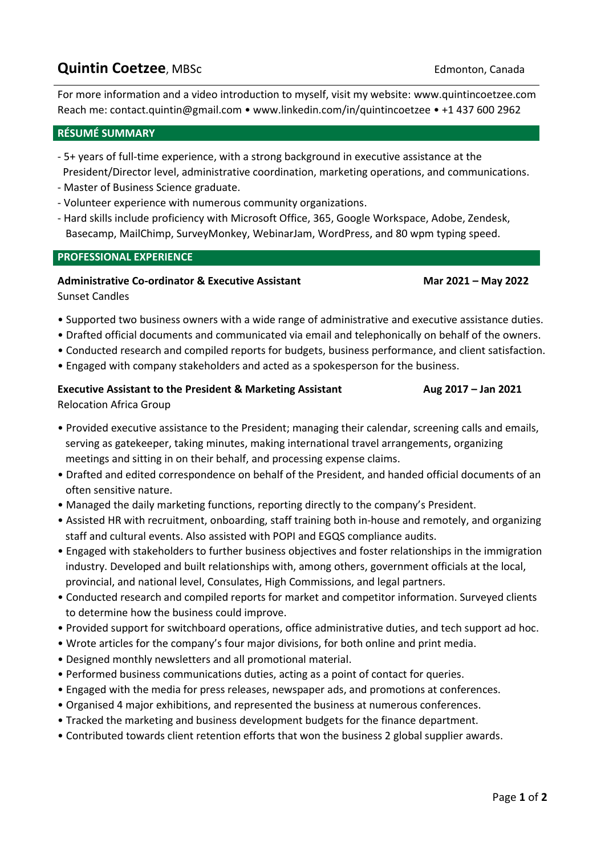# **Quintin Coetzee**, MBSc **Communicated Coetzee**, MBSc **Communicate Coetzee**, MBSc **Communicate Coetzee**, MBSc **Communicate Coetzee**

For more information and a video introduction to myself, visit my website: [www.quintincoetzee.com](http://www.quintincoetzee.com/) Reach me: [contact.quintin@gmail.com](mailto:contact.quintin@gmail.com) • [www.linkedin.com/in/quintincoetzee](http://www.linkedin.com/in/quintincoetzee) • +1 437 600 2962

# **RÉSUMÉ SUMMARY**

- 5+ years of full-time experience, with a strong background in executive assistance at the President/Director level, administrative coordination, marketing operations, and communications.
- Master of Business Science graduate.
- Volunteer experience with numerous community organizations.
- Hard skills include proficiency with Microsoft Office, 365, Google Workspace, Adobe, Zendesk, Basecamp, MailChimp, SurveyMonkey, WebinarJam, WordPress, and 80 wpm typing speed.

### **PROFESSIONAL EXPERIENCE**

# **Administrative Co-ordinator & Executive Assistant Mar 2021 – May 2022**

Sunset Candles

- Supported two business owners with a wide range of administrative and executive assistance duties.
- Drafted official documents and communicated via email and telephonically on behalf of the owners.
- Conducted research and compiled reports for budgets, business performance, and client satisfaction.
- Engaged with company stakeholders and acted as a spokesperson for the business.

# **Executive Assistant to the President & Marketing Assistant Aug 2017 – Jan 2021** Relocation Africa Group

- Provided executive assistance to the President; managing their calendar, screening calls and emails, serving as gatekeeper, taking minutes, making international travel arrangements, organizing meetings and sitting in on their behalf, and processing expense claims.
- Drafted and edited correspondence on behalf of the President, and handed official documents of an often sensitive nature.
- Managed the daily marketing functions, reporting directly to the company's President.
- Assisted HR with recruitment, onboarding, staff training both in-house and remotely, and organizing staff and cultural events. Also assisted with POPI and EGQS compliance audits.
- Engaged with stakeholders to further business objectives and foster relationships in the immigration industry. Developed and built relationships with, among others, government officials at the local, provincial, and national level, Consulates, High Commissions, and legal partners.
- Conducted research and compiled reports for market and competitor information. Surveyed clients to determine how the business could improve.
- Provided support for switchboard operations, office administrative duties, and tech support ad hoc.
- Wrote articles for the company's four major divisions, for both online and print media.
- Designed monthly newsletters and all promotional material.
- Performed business communications duties, acting as a point of contact for queries.
- Engaged with the media for press releases, newspaper ads, and promotions at conferences.
- Organised 4 major exhibitions, and represented the business at numerous conferences.
- Tracked the marketing and business development budgets for the finance department.
- Contributed towards client retention efforts that won the business 2 global supplier awards.